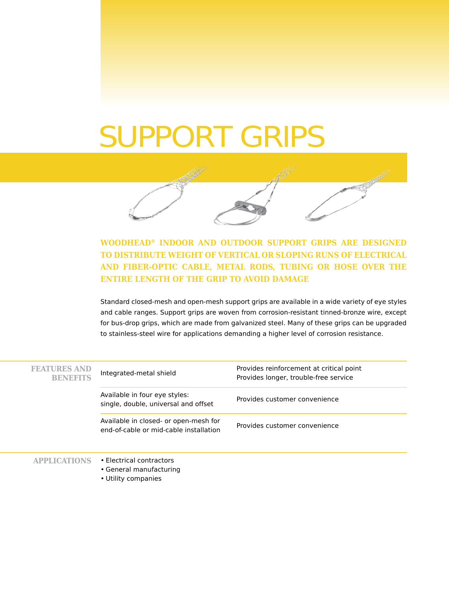# SUPPORT GRIPS



# **WOODHEAD® INDOOR AND OUTDOOR SUPPORT GRIPS ARE DESIGNED TO DISTRIBUTE WEIGHT OF VERTICAL OR SLOPING RUNS OF ELECTRICAL AND FIBER-OPTIC CABLE, METAL RODS, TUBING OR HOSE OVER THE ENTIRE LENGTH OF THE GRIP TO AVOID DAMAGE**

Standard closed-mesh and open-mesh support grips are available in a wide variety of eye styles and cable ranges. Support grips are woven from corrosion-resistant tinned-bronze wire, except for bus-drop grips, which are made from galvanized steel. Many of these grips can be upgraded to stainless-steel wire for applications demanding a higher level of corrosion resistance.

| <b>FEATURES AND</b><br><b>BENEFITS</b> | Integrated-metal shield                                                         | Provides reinforcement at critical point<br>Provides longer, trouble-free service |
|----------------------------------------|---------------------------------------------------------------------------------|-----------------------------------------------------------------------------------|
|                                        | Available in four eye styles:<br>single, double, universal and offset           | Provides customer convenience                                                     |
|                                        | Available in closed- or open-mesh for<br>end-of-cable or mid-cable installation | Provides customer convenience                                                     |
|                                        | • Electrical contractors                                                        |                                                                                   |

- General manufacturing
- Utility companies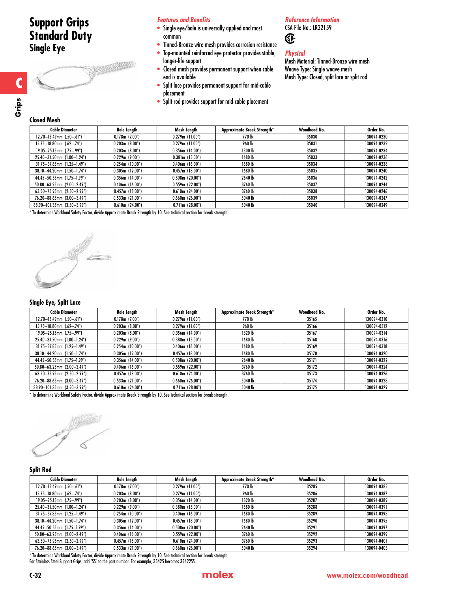# **Support Grips Standard Duty Single Eye**



# *Features and Benefits*

- Single eye/bale is universally applied and most common
- Tinned-Bronze wire mesh provides corrosion resistance
- Top-mounted reinforced eye protector provides stable, longer-life support
- Closed mesh provides permanent support when cable end is available
- Split lace provides permanent support for mid-cable placement
- Split rod provides support for mid-cable placement

# *Reference Information* CSA File No.: LR32159

*Physical*

Œ

Mesh Material: Tinned-Bronze wire mesh Weave Type: Single weave mesh Mesh Type: Closed, split lace or split rod

**C**

# **Closed Mesh**

| <b>Cable Diameter</b>              | Bale Length          | Mesh Length          | Approximate Break Strength* | Woodhead No. | Order No.   |  |  |  |
|------------------------------------|----------------------|----------------------|-----------------------------|--------------|-------------|--|--|--|
| $12.70 - 15.49$ mm $(.50 - .61")$  | 0.178m(7.00")        | $0.279$ m (11.00")   | 770 lb                      | 35030        | 130094-0230 |  |  |  |
| $15.75 - 18.80$ mm $(.62 - .74")$  | 0.203m(8.00")        | $0.279$ m $(11.00")$ | 960 lb                      | 35031        | 130094-0232 |  |  |  |
| $19.05 - 25.15$ mm $(.75 - .99")$  | 0.203m(8.00")        | $0.356$ m (14.00")   | 1300 lb                     | 35032        | 130094-0234 |  |  |  |
| 25.40-31.50mm (1.00-1.24")         | 0.229m(9.00")        | 0.381m(15.00")       | 1680 lb                     | 35033        | 130094-0236 |  |  |  |
| $31.75 - 37.85$ mm $(1.25 - 1.49)$ | 0.254m(10.00")       | $0.406$ m $(16.00")$ | 1680 lb                     | 35034        | 130094-0238 |  |  |  |
| 38.10-44.20mm (1.50-1.74")         | 0.305m(12.00")       | 0.457m(18.00")       | 1680 lb                     | 35035        | 130094-0240 |  |  |  |
| 44.45-50.55mm (1.75-1.99")         | $0.356$ m (14.00")   | 0.508m(20.00")       | 2640 lb                     | 35036        | 130094-0242 |  |  |  |
| $50.80 - 63.25$ mm $(2.00 - 2.49)$ | $0.406$ m $(16.00")$ | 0.559m(22.00")       | 3760 lb                     | 35037        | 130094-0244 |  |  |  |
| $63.50 - 75.95$ mm $(2.50 - 2.99)$ | 0.457m(18.00")       | 0.610m(24.00")       | 3760 lb                     | 35038        | 130094-0246 |  |  |  |
| 76.20-88.65mm (3.00-3.49")         | 0.533m(21.00")       | $0.660$ m $(26.00")$ | 5040 lb                     | 35039        | 130094-0247 |  |  |  |
| 88.90-101.35mm (3.50-3.99")        | 0.610m(24.00")       | 0.711m(28.00")       | 5040 lb                     | 35040        | 130094-0249 |  |  |  |
|                                    |                      |                      |                             |              |             |  |  |  |

\* To determine Workload Safety Factor, divide Approximate Break Strength by 10. See technical section for break strength.



# **Single Eye, Split Lace**

| <b>Cable Diameter</b>              | <b>Bale Length</b> | Mesh Length          | Approximate Break Strength* | Woodhead No. | Order No.   |
|------------------------------------|--------------------|----------------------|-----------------------------|--------------|-------------|
| $12.70 - 15.49$ mm $(.50 - .61")$  | 0.178m(7.00")      | $0.279m$ (11.00")    | 770 lb                      | 35165        | 130094-0310 |
| $15.75 - 18.80$ mm $(.62 - .74")$  | 0.203m(8.00")      | $0.279m$ (11.00")    | 960 lb                      | 35166        | 130094-0312 |
| $19.05 - 25.15$ mm $(.75 - .99")$  | 0.203m(8.00")      | $0.356m$ (14.00")    | 1320 lb                     | 35167        | 130094-0314 |
| 25.40-31.50mm (1.00-1.24")         | 0.229m(9.00")      | $0.380$ m $(15.00)$  | 1680 lb                     | 35168        | 130094-0316 |
| $31.75 - 37.85$ mm (1.25-1.49")    | 0.254m(10.00")     | $0.406$ m (16.00")   | 1680 lb                     | 35169        | 130094-0318 |
| 38.10-44.20mm (1.50-1.74")         | 0.305m(12.00")     | 0.457m(18.00")       | 1680 lb                     | 35170        | 130094-0320 |
| 44.45-50.55mm (1.75-1.99")         | $0.356m$ (14.00")  | $0.508$ m (20.00")   | 2640 lb                     | 35171        | 130094-0322 |
| 50.80-63.25mm (2.00-2.49")         | 0.406m(16.00")     | 0.559m(22.00")       | 3760lb                      | 35172        | 130094-0324 |
| $63.50 - 75.95$ mm $(2.50 - 2.99)$ | 0.457m(18.00")     | 0.610m(24.00")       | 3760 lb                     | 35173        | 130094-0326 |
| 76.20-88.65mm (3.00-3.49")         | 0.533m(21.00")     | $0.660$ m $(26.00")$ | 5040 lb                     | 35174        | 130094-0328 |
| 88.90-101.35mm (3.50-3.99")        | 0.610m(24.00")     | 0.711m(28.00")       | 5040 lb                     | 35175        | 130094-0329 |

\* To determine Workload Safety Factor, divide Approximate Break Strength by 10. See technical section for break strength.

# **Split Rod**

| <b>Cable Diameter</b>              | Bale Length    | Mesh Length          | Approximate Break Strength* | Woodhead No. | Order No.   |
|------------------------------------|----------------|----------------------|-----------------------------|--------------|-------------|
| $12.70 - 15.49$ mm $(.50 - .61")$  | 0.178m(7.00")  | $0.279m$ (11.00")    | 770 lb                      | 35285        | 130094-0385 |
| $15.75 - 18.80$ mm $(.62 - .74")$  | 0.203m(8.00")  | $0.279$ m $(11.00")$ | 960 lb                      | 35286        | 130094-0387 |
| $19.05 - 25.15$ mm (.75-.99")      | 0.203m(8.00")  | $0.356m$ (14.00")    | 1320 lb                     | 35287        | 130094-0389 |
| 25.40-31.50mm (1.00-1.24")         | 0.229m(9.00")  | 0.380m(15.00")       | 1680 lb                     | 35288        | 130094-0391 |
| $31.75 - 37.85$ mm $(1.25 - 1.49)$ | 0.254m(10.00") | $0.406$ m $(16.00")$ | 1680 lb                     | 35289        | 130094-0393 |
| 38.10-44.20mm (1.50-1.74")         | 0.305m(12.00") | 0.457m(18.00")       | 1680 lb                     | 35290        | 130094-0395 |
| 44.45-50.55mm (1.75-1.99")         | 0.356m(14.00") | 0.508m(20.00")       | 2640 lb                     | 35291        | 130094-0397 |
| $50.80 - 63.25$ mm $(2.00 - 2.49)$ | 0.406m(16.00") | 0.559m(22.00")       | 3760lb                      | 35292        | 130094-0399 |
| $63.50 - 75.95$ mm (2.50-2.99")    | 0.457m(18.00") | 0.610m(24.00")       | 3760 lb                     | 35293        | 130094-0401 |
| 76.20-88.65mm (3.00-3.49")         | 0.533m(21.00") | $0.660$ m $(26.00")$ | 5040 lb                     | 35294        | 130094-0403 |
|                                    |                |                      |                             |              |             |

\* To determine Workload Safety Factor, divide Approximate Break Strength by 10. See technical section for break strength. For Stainless Steel Support Grips, add "SS" to the part number. For example, 35425 becomes 35422SS.

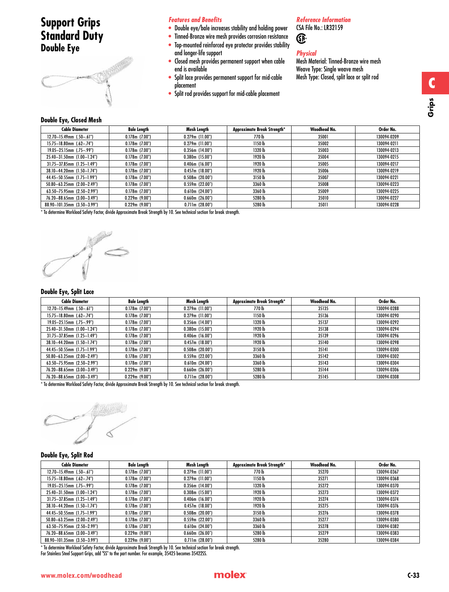# **Support Grips Standard Duty Double Eye**



# *Features and Benefits*

- Double eye/bale increases stability and holding power
- Tinned-Bronze wire mesh provides corrosion resistance
- Top-mounted reinforced eye protector provides stability and longer-life support
- Closed mesh provides permanent support when cable end is available
- Split lace provides permanent support for mid-cable placement
- Split rod provides support for mid-cable placement

# *Reference Information*

CSA File No.: LR32159 ®

# *Physical*

Mesh Material: Tinned-Bronze wire mesh Weave Type: Single weave mesh Mesh Type: Closed, split lace or split rod

# **Double Eye, Closed Mesh**

| - - - - - - , -, - - - - - - - - - - - |                    |                    |                             |              |             |
|----------------------------------------|--------------------|--------------------|-----------------------------|--------------|-------------|
| <b>Cable Diameter</b>                  | <b>Bale Length</b> | Mesh Length        | Approximate Break Strength* | Woodhead No. | Order No.   |
| $12.70 - 15.49$ mm $(.50 - .61")$      | 0.178m(7.00")      | $0.279$ m (11.00") | 770 lb                      | 35001        | 130094-0209 |
| $15.75 - 18.80$ mm $(.62 - .74")$      | 0.178m(7.00")      | $0.279m$ (11.00")  | 1150 lb                     | 35002        | 130094-0211 |
| $19.05 - 25.15$ mm $(.75 - .99")$      | 0.178m(7.00")      | $0.356$ m (14.00") | 1320 lb                     | 35003        | 130094-0213 |
| 25.40-31.50mm (1.00-1.24")             | 0.178m(7.00")      | 0.380m(15.00")     | 1920 lb                     | 35004        | 130094-0215 |
| $31.75 - 37.85$ mm (1.25-1.49")        | 0.178m(7.00")      | 0.406m(16.00")     | 1920 lb                     | 35005        | 130094-0217 |
| 38.10-44.20mm (1.50-1.74")             | 0.178m(7.00")      | 0.457m(18.00")     | 1920 lb                     | 35006        | 130094-0219 |
| 44.45-50.55mm (1.75-1.99")             | $0.178$ m (7.00")  | $0.508$ m (20.00") | 3150 lb                     | 35007        | 130094-0221 |
| $50.80 - 63.25$ mm $(2.00 - 2.49)$     | $0.178$ m (7.00")  | 0.559m(22.00")     | 3360lb                      | 35008        | 130094-0223 |
| 63.50-75.95mm (2.50-2.99")             | 0.178m(7.00")      | 0.610m(24.00")     | 3360lb                      | 35009        | 130094-0225 |
| 76.20-88.65mm (3.00-3.49")             | 0.229m(9.00")      | 0.660m(26.00")     | 5280 lb                     | 35010        | 130094-0227 |
| 88.90-101.35mm (3.50-3.99")            | 0.229m(9.00")      | 0.711m(28.00")     | 5280 lb                     | 35011        | 130094-0228 |

\* To determine Workload Safety Factor, divide Approximate Break Strength by 10. See technical section for break strength.

ý

# **Double Eye, Split Lace**

| <b>Cable Diameter</b>             | <b>Bale Length</b> | Mesh Length          | Approximate Break Strength* | Woodhead No. | Order No.   |
|-----------------------------------|--------------------|----------------------|-----------------------------|--------------|-------------|
| $12.70 - 15.49$ mm $(.50 - .61")$ | 0.178m(7.00")      | $0.279m$ (11.00")    | 770 lb                      | 35135        | 130094-0288 |
| $15.75 - 18.80$ mm $(.62 - .74")$ | 0.178m(7.00")      | $0.279m$ (11.00")    | 1150 lb                     | 35136        | 130094-0290 |
| $19.05 - 25.15$ mm $(.75 - .99")$ | 0.178m(7.00")      | $0.356$ m (14.00")   | 1320 lb                     | 35137        | 130094-0292 |
| 25.40-31.50mm (1.00-1.24")        | 0.178m(7.00")      | $0.380m$ (15.00")    | 1920 lb                     | 35138        | 130094-0294 |
| $31.75 - 37.85$ mm (1.25-1.49")   | 0.178m(7.00")      | $0.406$ m $(16.00")$ | 1920 lb                     | 35139        | 130094-0296 |
| 38.10-44.20mm (1.50-1.74")        | 0.178m(7.00")      | 0.457m(18.00")       | 1920 lb                     | 35140        | 130094-0298 |
| 44.45-50.55mm (1.75-1.99")        | 0.178m(7.00")      | 0.508m(20.00")       | 3150 lb                     | 35141        | 130094-0300 |
| $50.80 - 63.25$ mm (2.00-2.49")   | 0.178m(7.00")      | 0.559m(22.00")       | 3360 lb                     | 35142        | 130094-0302 |
| $63.50 - 75.95$ mm (2.50-2.99")   | 0.178m(7.00")      | 0.610m(24.00")       | 3360 lb                     | 35143        | 130094-0304 |
| 76.20-88.65mm (3.00-3.49")        | 0.229m(9.00")      | $0.660$ m $(26.00")$ | 5280 lb                     | 35144        | 130094-0306 |
| 76.20-88.65mm (3.00-3.49")        | 0.229m(9.00")      | 0.711m(28.00")       | 5280 lb                     | 35145        | 130094-0308 |

\* To determine Workload Safety Factor, divide Approximate Break Strength by 10. See technical section for break strength.



# **Double Eye, Split Rod**

| <b>Cable Diameter</b>             | Bale Length   | Mesh Length       | <b>Approximate Break Strength*</b> | Woodhead No. | Order No.   |
|-----------------------------------|---------------|-------------------|------------------------------------|--------------|-------------|
| $12.70 - 15.49$ mm $(.50 - .61")$ | 0.178m(7.00") | $0.279m$ (11.00") | 770 lb                             | 35270        | 130094-0367 |
| $15.75 - 18.80$ mm $(.62 - .74")$ | 0.178m(7.00") | $0.279m$ (11.00") | 1150 <sub>h</sub>                  | 35271        | 130094-0368 |
| $19.05 - 25.15$ mm (.75-.99")     | 0.178m(7.00") | $0.356m$ (14.00") | 1320 lb                            | 35272        | 130094-0370 |
| 25.40-31.50mm (1.00-1.24")        | 0.178m(7.00") | 0.308m(15.00")    | 1920 lb                            | 35273        | 130094-0372 |
| $31.75 - 37.85$ mm (1.25-1.49")   | 0.178m(7.00") | 0.406m(16.00")    | 1920 lb                            | 35274        | 130094-0374 |
| 38.10-44.20mm (1.50-1.74")        | 0.178m(7.00") | 0.457m(18.00")    | 1920 lb                            | 35275        | 130094-0376 |
| 44.45-50.55mm (1.75-1.99")        | 0.178m(7.00") | 0.508m(20.00")    | 3150 lb                            | 35276        | 130094-0378 |
| $50.80 - 63.25$ mm (2.00-2.49")   | 0.178m(7.00") | 0.559m(22.00")    | 3360lb                             | 35277        | 130094-0380 |
| 63.50-75.95mm (2.50-2.99")        | 0.178m(7.00") | 0.610m(24.00")    | 3360 lb                            | 35278        | 130094-0382 |
| 76.20-88.65mm (3.00-3.49")        | 0.229m(9.00") | 0.660m(26.00")    | 5280 lb                            | 35279        | 130094-0383 |
| 88.90-101.35mm (3.50-3.99")       | 0.229m(9.00") | 0.711m(28.00")    | 5280 lb                            | 35280        | 130094-0384 |

\* To determine Workload Safety Factor, divide Approximate Break Strength by 10. See technical section for break strength. For Stainless Steel Support Grips, add "SS" to the part number. For example, 35425 becomes 35422SS.

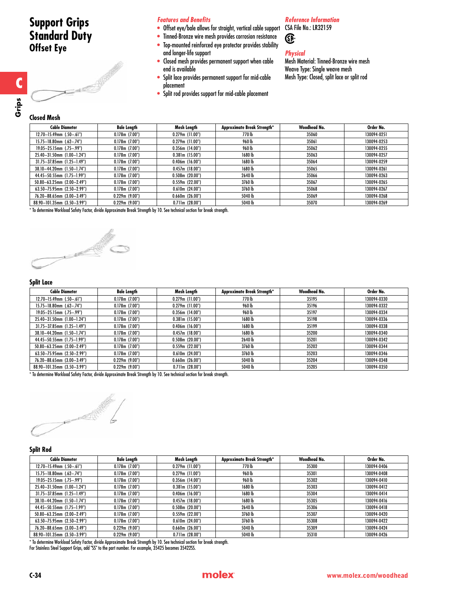# **Support Grips Standard Duty Offset Eye**



# *Features and Benefits*

- Offset eye/bale allows for straight, vertical cable support CSA File No.: LR32159
- Tinned-Bronze wire mesh provides corrosion resistance
- Top-mounted reinforced eye protector provides stability and longer-life support
- Closed mesh provides permanent support when cable end is available
- Split lace provides permanent support for mid-cable placement
- Split rod provides support for mid-cable placement

### *Reference Information*

Œ

# *Physical*

Mesh Material: Tinned-Bronze wire mesh Weave Type: Single weave mesh Mesh Type: Closed, split lace or split rod

**C**

**Grips**

| <b>Cable Diameter</b>                                              | <b>Bale Length</b>  | Mesh Length          | Approximate Break Strength* | Woodhead No. | Order No.   |
|--------------------------------------------------------------------|---------------------|----------------------|-----------------------------|--------------|-------------|
| $12.70 - 15.49$ mm $(.50 - .61")$                                  | $0.178$ m $(7.00")$ | $0.279m$ (11.00")    | 770 lb                      | 35060        | 130094-0251 |
| $15.75 - 18.80$ mm $(.62 - .74")$                                  | 0.178m(7.00")       | $0.279$ m $(11.00")$ | 960 lb                      | 35061        | 130094-0253 |
| $19.05 - 25.15$ mm $(.75 - .99")$                                  | $0.178$ m (7.00")   | $0.356$ m (14.00")   | 960 lb                      | 35062        | 130094-0255 |
| 25.40-31.50mm (1.00-1.24")                                         | $0.178$ m $(7.00")$ | 0.381m(15.00")       | 1680 lb                     | 35063        | 130094-0257 |
| $31.75 - 37.85$ mm $(1.25 - 1.49)$                                 | $0.178$ m (7.00")   | $0.406$ m $(16.00")$ | 1680 lb                     | 35064        | 130094-0259 |
| 38.10-44.20mm (1.50-1.74")                                         | $0.178$ m (7.00")   | 0.457m(18.00")       | 1680 lb                     | 35065        | 130094-0261 |
| 44.45-50.55mm (1.75-1.99")                                         | $0.178$ m $(7.00")$ | $0.508m$ (20.00")    | 2640 lb                     | 35066        | 130094-0263 |
| $50.80 - 63.25$ mm $(2.00 - 2.49)$                                 | $0.178$ m $(7.00")$ | 0.559m(22.00")       | 3760lb                      | 35067        | 130094-0265 |
| $63.50 - 75.95$ mm $(2.50 - 2.99)$                                 | $0.178$ m $(7.00")$ | 0.610m(24.00")       | 3760lb                      | 35068        | 130094-0267 |
| 76.20-88.65mm (3.00-3.49")                                         | 0.229m(9.00")       | $0.660$ m $(26.00")$ | 5040 lb                     | 35069        | 130094-0268 |
| 88.90-101.35mm (3.50-3.99")                                        | 0.229m(9.00")       | 0.711m(28.00")       | 5040 lb                     | 35070        | 130094-0269 |
| الاستناط والمتاري والمحاول الملاحب والملاحقات والمتارين والمستحيات |                     |                      |                             |              |             |

\* To determine Workload Safety Factor, divide Approximate Break Strength by 10. See technical section for break strength.



### **Split Lace**

| <b>Cable Diameter</b>              | Bale Length         | Mesh Length          | Approximate Break Strength* | Woodhead No. | Order No.   |
|------------------------------------|---------------------|----------------------|-----------------------------|--------------|-------------|
| $12.70 - 15.49$ mm $(.50 - .61")$  | $0.178$ m $(7.00")$ | $0.279m$ (11.00")    | 770 lb                      | 35195        | 130094-0330 |
| $15.75 - 18.80$ mm $(.62 - .74")$  | 0.178m(7.00")       | $0.279m$ (11.00")    | 960 lb                      | 35196        | 130094-0332 |
| $19.05 - 25.15$ mm $(.75 - .99")$  | $0.178$ m (7.00")   | $0.356$ m (14.00")   | 960 lb                      | 35197        | 130094-0334 |
| 25.40-31.50mm (1.00-1.24")         | 0.178m(7.00")       | 0.381m(15.00")       | 1680 lb                     | 35198        | 130094-0336 |
| $31.75 - 37.85$ mm $(1.25 - 1.49)$ | $0.178$ m (7.00")   | $0.406$ m $(16.00")$ | 1680 lb                     | 35199        | 130094-0338 |
| 38.10-44.20mm (1.50-1.74")         | $0.178$ m (7.00")   | $0.457m$ (18.00")    | 1680 lb                     | 35200        | 130094-0340 |
| 44.45-50.55mm (1.75-1.99")         | $0.178$ m (7.00")   | $0.508$ m (20.00")   | 2640 lb                     | 35201        | 130094-0342 |
| $50.80 - 63.25$ mm $(2.00 - 2.49)$ | $0.178$ m (7.00")   | 0.559m(22.00")       | 3760lb                      | 35202        | 130094-0344 |
| 63.50-75.95mm (2.50-2.99")         | $0.178$ m (7.00")   | 0.610m(24.00")       | 3760lb                      | 35203        | 130094-0346 |
| 76.20-88.65mm (3.00-3.49")         | $0.229$ m (9.00")   | 0.660m(26.00")       | 5040 lb                     | 35204        | 130094-0348 |
| 88.90-101.35mm (3.50-3.99")        | 0.229m(9.00")       | 0.711m(28.00")       | 5040lb                      | 35205        | 130094-0350 |

\* To determine Workload Safety Factor, divide Approximate Break Strength by 10. See technical section for break strength.



### **Split Rod**

| <b>Cable Diameter</b>              | Bale Length       | Mesh Length        | Approximate Break Strength* | Woodhead No. | Order No.   |
|------------------------------------|-------------------|--------------------|-----------------------------|--------------|-------------|
| $12.70 - 15.49$ mm $(.50 - .61")$  | 0.178m(7.00")     | $0.279m$ (11.00")  | 770 lb                      | 35300        | 130094-0406 |
| $15.75 - 18.80$ mm $(.62 - .74")$  | 0.178m(7.00")     | $0.279m$ (11.00")  | 960 lb                      | 35301        | 130094-0408 |
| $19.05 - 25.15$ mm (.75-.99")      | 0.178m(7.00")     | $0.356m$ (14.00")  | 960 lb                      | 35302        | 130094-0410 |
| 25.40-31.50mm (1.00-1.24")         | 0.178m(7.00")     | 0.381m(15.00")     | 1680 lb                     | 35303        | 130094-0412 |
| $31.75 - 37.85$ mm (1.25-1.49")    | 0.178m(7.00")     | 0.406m(16.00")     | 1680 lb                     | 35304        | 130094-0414 |
| 38.10-44.20mm (1.50-1.74")         | $0.178$ m (7.00") | 0.457m(18.00")     | 1680 lb                     | 35305        | 130094-0416 |
| 44.45-50.55mm (1.75-1.99")         | $0.178$ m (7.00") | $0.508m$ (20.00")  | 2640 lb                     | 35306        | 130094-0418 |
| $50.80 - 63.25$ mm (2.00-2.49")    | 0.178m(7.00")     | 0.559m(22.00")     | 3760 lb                     | 35307        | 130094-0420 |
| $63.50 - 75.95$ mm $(2.50 - 2.99)$ | $0.178$ m (7.00") | 0.610m(24.00")     | 3760 lb                     | 35308        | 130094-0422 |
| 76.20-88.65mm (3.00-3.49")         | 0.229m(9.00")     | $0.660$ m (26.00") | 5040 lb                     | 35309        | 130094-0424 |
| 88.90-101.35mm (3.50-3.99")        | 0.229m(9.00")     | 0.711m(28.00")     | 5040 lb                     | 35310        | 130094-0426 |

\* To determine Workload Safety Factor, divide Approximate Break Strength by 10. See technical section for break strength. For Stainless Steel Support Grips, add "SS" to the part number. For example, 35425 becomes 35422SS.

# **C-34** www.molex.com/woodhead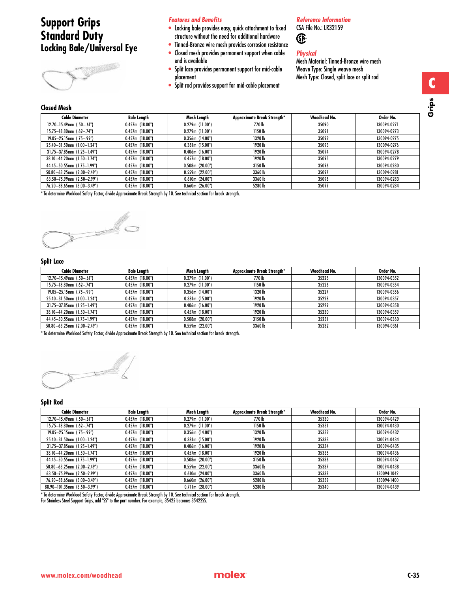# **Support Grips Standard Duty Locking Bale/Universal Eye**



# *Features and Benefits*

- Locking bale provides easy, quick attachment to fixed structure without the need for additional hardware
- Tinned-Bronze wire mesh provides corrosion resistance • Closed mesh provides permanent support when cable end is available
- Split lace provides permanent support for mid-cable placement
- Split rod provides support for mid-cable placement

# *Reference Information*

CSA File No.: LR32159 Œ

# *Physical*

Mesh Material: Tinned-Bronze wire mesh Weave Type: Single weave mesh Mesh Type: Closed, split lace or split rod

# **Closed Mesh**

| <b>Cable Diameter</b>              | Bale Length    | Mesh Length          | Approximate Break Strength* | Woodhead No. | Order No.   |
|------------------------------------|----------------|----------------------|-----------------------------|--------------|-------------|
| $12.70 - 15.49$ mm $(.50 - .61")$  | 0.457m(18.00") | $0.279$ m (11.00")   | 770 lb                      | 35090        | 130094-0271 |
| $15.75 - 18.80$ mm $(.62 - .74")$  | 0.457m(18.00") | $0.279$ m (11.00")   | 1150 lb                     | 35091        | 130094-0273 |
| $19.05 - 25.15$ mm (.75-.99")      | 0.457m(18.00") | $0.356$ m (14.00")   | 1320 lb                     | 35092        | 130094-0275 |
| 25.40-31.50mm (1.00-1.24")         | 0.457m(18.00") | 0.381m(15.00")       | 1920 lb                     | 35093        | 130094-0276 |
| $31.75 - 37.85$ mm $(1.25 - 1.49)$ | 0.457m(18.00") | $0.406$ m (16.00")   | 1920 lb                     | 35094        | 130094-0278 |
| 38.10-44.20mm (1.50-1.74")         | 0.457m(18.00") | 0.457m(18.00")       | 1920 lb                     | 35095        | 130094-0279 |
| 44.45-50.55mm (1.75-1.99")         | 0.457m(18.00") | 0.508m(20.00")       | 3150 lb                     | 35096        | 130094-0280 |
| $50.80 - 63.25$ mm $(2.00 - 2.49)$ | 0.457m(18.00") | 0.559m(22.00")       | 3360lb                      | 35097        | 130094-0281 |
| $63.50 - 75.99$ mm $(2.50 - 2.99)$ | 0.457m(18.00") | 0.610m(24.00")       | 3360lb                      | 35098        | 130094-0283 |
| 76.20-88.65mm (3.00-3.49")         | 0.457m(18.00") | $0.660$ m $(26.00")$ | 5280 lb                     | 35099        | 130094-0284 |

\* To determine Workload Safety Factor, divide Approximate Break Strength by 10. See technical section for break strength.



# **Split Lace**

| <b>Cable Diameter</b>             | <b>Bale Length</b> | Mesh Length        | <b>Approximate Break Strength*</b> | Woodhead No. | Order No.   |
|-----------------------------------|--------------------|--------------------|------------------------------------|--------------|-------------|
| $12.70 - 15.49$ mm $(.50 - .61")$ | 0.457m(18.00")     | $0.279m$ (11.00")  | 770 lb                             | 35225        | 130094-0352 |
| $15.75 - 18.80$ mm $(.62 - .74")$ | 0.457m(18.00")     | $0.279$ m (11.00") | 1150 lb                            | 35226        | 130094-0354 |
| $19.05 - 25.15$ mm $(.75 - .99")$ | 0.457m(18.00")     | $0.356$ m (14.00") | 1320 lb                            | 35227        | 130094-0356 |
| 25.40-31.50mm (1.00-1.24")        | 0.457m(18.00")     | 0.381m(15.00")     | 1920 lb                            | 35228        | 130094-0357 |
| 31.75-37.85mm (1.25-1.49")        | 0.457m(18.00")     | $0.406$ m (16.00") | 1920 lb                            | 35229        | 130094-0358 |
| 38.10-44.20mm (1.50-1.74")        | 0.457m(18.00")     | 0.457m(18.00")     | 1920 lb                            | 35230        | 130094-0359 |
| 44.45-50.55mm (1.75-1.99")        | 0.457m(18.00")     | 0.508m(20.00")     | 3150lb                             | 35231        | 130094-0360 |
| $50.80 - 63.25$ mm (2.00-2.49")   | 0.457m(18.00")     | 0.559m(22.00")     | 3360 lb                            | 35232        | 130094-0361 |

\* To determine Workload Safety Factor, divide Approximate Break Strength by 10. See technical section for break strength.



# **Split Rod**

| <b>Cable Diameter</b>               | Bale Length    | Mesh Length          | Approximate Break Strength* | Woodhead No. | Order No.   |
|-------------------------------------|----------------|----------------------|-----------------------------|--------------|-------------|
| $12.70 - 15.49$ mm $(.50 - .61")$   | 0.457m(18.00") | $0.279m$ (11.00")    | 770 lb                      | 35330        | 130094-0429 |
| $15.75 - 18.80$ mm $(.62 - .74")$   | 0.457m(18.00") | $0.279m$ (11.00")    | 1150 lb                     | 35331        | 130094-0430 |
| $19.05 - 25.15$ mm $(.75 - .99")$   | 0.457m(18.00") | $0.356$ m (14.00")   | 1320 lb                     | 35332        | 130094-0432 |
| 25.40-31.50mm (1.00-1.24")          | 0.457m(18.00") | 0.381m(15.00")       | 1920 lb                     | 35333        | 130094-0434 |
| $31.75 - 37.85$ mm $(1.25 - 1.49")$ | 0.457m(18.00") | $0.406$ m (16.00")   | 1920 lb                     | 35334        | 130094-0435 |
| 38.10-44.20mm (1.50-1.74")          | 0.457m(18.00") | 0.457m(18.00")       | 1920 lb                     | 35335        | 130094-0436 |
| 44.45-50.55mm (1.75-1.99")          | 0.457m(18.00") | $0.508m$ (20.00")    | 3150 lb                     | 35336        | 130094-0437 |
| $50.80 - 63.25$ mm $(2.00 - 2.49)$  | 0.457m(18.00") | $0.559m$ (22.00")    | 3360 lb                     | 35337        | 130094-0438 |
| $63.50 - 75.99$ mm $(2.50 - 2.99)$  | 0.457m(18.00") | 0.610m(24.00")       | 3360 lb                     | 35338        | 130094-1042 |
| 76.20-88.65mm (3.00-3.49")          | 0.457m(18.00") | $0.660$ m $(26.00")$ | 5280 lb                     | 35339        | 130094-1400 |
| 88.90-101.35mm (3.50-3.99")         | 0.457m(18.00") | 0.711m(28.00")       | 5280 lb                     | 35340        | 130094-0439 |

\* To determine Workload Safety Factor, divide Approximate Break Strength by 10. See technical section for break strength.

For Stainless Steel Support Grips, add "SS" to the part number. For example, 35425 becomes 35422SS.

**C**

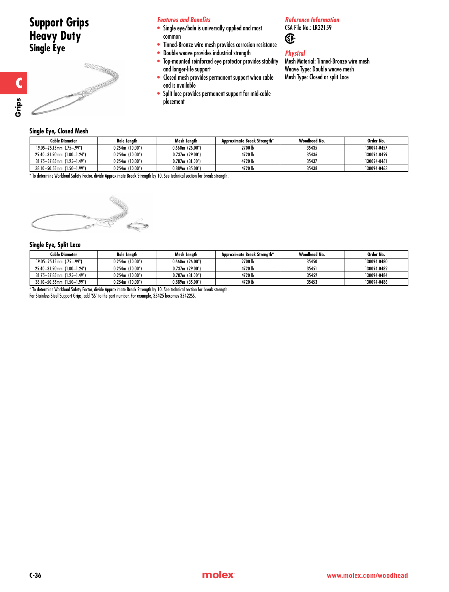# **Support Grips Heavy Duty Single Eye**

**Single Eye, Closed Mesh**

# **READERS**

# *Features and Benefits*

- Single eye/bale is universally applied and most common
- Tinned-Bronze wire mesh provides corrosion resistance
- Double weave provides industrial strength
- Top-mounted reinforced eye protector provides stability and longer-life support
- Closed mesh provides permanent support when cable end is available
- Split lace provides permanent support for mid-cable placement

# *Reference Information*

CSA File No.: LR32159 Œ

# *Physical*

Mesh Material: Tinned-Bronze wire mesh Weave Type: Double weave mesh Mesh Type: Closed or split Lace

| ------------                  |                    |                      |                             |              |             |
|-------------------------------|--------------------|----------------------|-----------------------------|--------------|-------------|
| <b>Cable Diameter</b>         | <b>Bale Length</b> | Mesh Lenath          | Approximate Break Strenath* | Woodhead No. | Order No.   |
| $19.05 - 25.15$ mm (.75-.99") | 0.254m(10.00")     | $0.660$ m $(26.00")$ | 2700 lb                     | 35435        | 130094-0457 |
| 25.40-31.50mm (1.00-1.24")    | 0.254m(10.00")     | 0.737m(29.00")       | 4720 lb                     | 35436        | 130094-0459 |
| 31.75-37.85mm (1.25-1.49")    | 0.254m(10.00")     | 0.787m(31.00")       | 4720 lb                     | 35437        | 130094-0461 |
| 38.10-50.55mm (1.50-1.99")    | 0.254m(10.00")     | 0.889m(35.00")       | 4720 lb                     | 35438        | 130094-0463 |

\* To determine Workload Safety Factor, divide Approximate Break Strength by 10. See technical section for break strength.



# **Single Eye, Split Lace**

| Cable Diameter                | <b>Bale Lenath</b>   | Mesh Lenath       | Approximate Break Strenath* | Woodhead No. | Order No.   |
|-------------------------------|----------------------|-------------------|-----------------------------|--------------|-------------|
| $19.05 - 25.15$ mm (.75-.99") | $0.254$ m (10.00")   | 0.660m(26.00")    | 2700 lb                     | 35450        | 130094-0480 |
| 25.40-31.50mm (1.00-1.24")    | $0.254$ m $(10.00")$ | 0.737m(29.00")    | 4720 lb                     | 35451        | 130094-0482 |
| 31.75-37.85mm (1.25-1.49")    | $0.254$ m (10.00")   | 0.787m(31.00")    | 4720 lb                     | 35452        | 130094-0484 |
| 38.10-50.55mm (1.50-1.99")    | 0.254m(10.00")       | $0.889m$ (35.00") | 4720 lb                     | 35453        | 130094-0486 |

\* To determine Workload Safety Factor, divide Approximate Break Strength by 10. See technical section for break strength.

For Stainless Steel Support Grips, add "SS" to the part number. For example, 35425 becomes 35422SS.

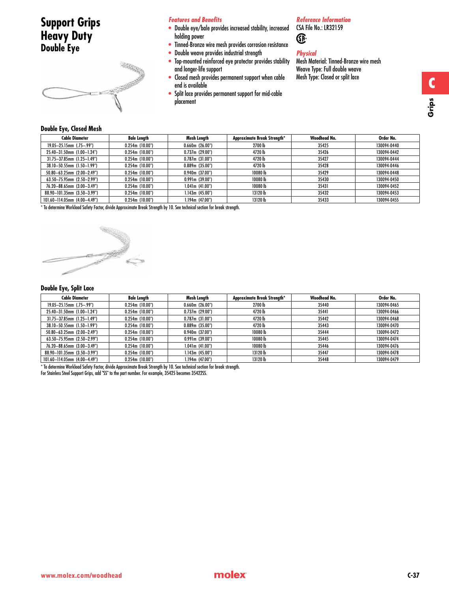# **Support Grips Heavy Duty Double Eye**



## *Features and Benefits*

- Double eye/bale provides increased stability, increased holding power
- Tinned-Bronze wire mesh provides corrosion resistance
- Double weave provides industrial strength
- Top-mounted reinforced eye protector provides stability and longer-life support
- Closed mesh provides permanent support when cable end is available
- Split lace provides permanent support for mid-cable placement

# *Reference Information*

CSA File No.: LR32159 **®** 

# *Physical*

Mesh Material: Tinned-Bronze wire mesh Weave Type: Full double weave Mesh Type: Closed or split lace

# **Double Eye, Closed Mesh**

| <b>Cable Diameter</b>              | Bale Length       | Mesh Length          | Approximate Break Strength* | Woodhead No. | Order No.   |
|------------------------------------|-------------------|----------------------|-----------------------------|--------------|-------------|
| $19.05 - 25.15$ mm $(.75 - .99")$  | 0.254m(10.00")    | $0.660$ m $(26.00")$ | 2700 lb                     | 35425        | 130094-0440 |
| 25.40-31.50mm (1.00-1.24")         | 0.254m(10.00")    | 0.737m(29.00")       | 4720 lb                     | 35426        | 130094-0442 |
| $31.75 - 37.85$ mm $(1.25 - 1.49)$ | 0.254m(10.00")    | $0.787m$ (31.00")    | 4720 lb                     | 35427        | 130094-0444 |
| 38.10-50.55mm (1.50-1.99")         | 0.254m(10.00")    | 0.889m(35.00")       | 4720 lb                     | 35428        | 130094-0446 |
| $50.80 - 63.25$ mm $(2.00 - 2.49)$ | 0.254m(10.00")    | $0.940$ m (37.00")   | 10080 lb                    | 35429        | 130094-0448 |
| $63.50 - 75.95$ mm $(2.50 - 2.99)$ | 0.254m(10.00")    | 0.991m(39.00")       | 10080lb                     | 35430        | 130094-0450 |
| 76.20-88.65mm (3.00-3.49")         | 0.254m(10.00")    | 1.041m(41.00")       | 10080lb                     | 35431        | 130094-0452 |
| 88.90-101.35mm (3.50-3.99")        | 0.254m(10.00")    | 1.143m (45.00")      | 13120 lb                    | 35432        | 130094-0453 |
| 101.60-114.05mm (4.00-4.49")       | $0.254m$ (10.00") | 1.194m (47.00")      | 13120 lb                    | 35433        | 130094-0455 |

\* To determine Workload Safety Factor, divide Approximate Break Strength by 10. See technical section for break strength.



# **Double Eye, Split Lace**

| <b>Cable Diameter</b>              | Bale Length        | Mesh Length          | Approximate Break Strength* | Woodhead No. | Order No.   |
|------------------------------------|--------------------|----------------------|-----------------------------|--------------|-------------|
| $19.05 - 25.15$ mm (.75-.99")      | 0.254m(10.00")     | $0.660$ m $(26.00")$ | 2700 lb                     | 35440        | 130094-0465 |
| 25.40-31.50mm (1.00-1.24")         | 0.254m(10.00")     | 0.737m(29.00")       | 4720 lb                     | 35441        | 130094-0466 |
| $31.75 - 37.85$ mm (1.25-1.49")    | 0.254m(10.00")     | 0.787m(31.00")       | 4720 lb                     | 35442        | 130094-0468 |
| 38.10-50.55mm (1.50-1.99")         | $0.254$ m (10.00") | 0.889m(35.00")       | 4720 lb                     | 35443        | 130094-0470 |
| $50.80 - 63.25$ mm $(2.00 - 2.49)$ | 0.254m(10.00")     | 0.940m(37.00")       | 10080 lb                    | 35444        | 130094-0472 |
| 63.50-75.95mm (2.50-2.99")         | 0.254m(10.00")     | 0.991m(39.00")       | 10080 lb                    | 35445        | 130094-0474 |
| 76.20-88.65mm (3.00-3.49")         | 0.254m(10.00")     | 1.041m(41.00")       | 10080 lb                    | 35446        | 130094-0476 |
| 88.90-101.35mm (3.50-3.99")        | 0.254m(10.00")     | 1.143m(45.00")       | 13120 lb                    | 35447        | 130094-0478 |
| 101.60-114.05mm (4.00-4.49")       | 0.254m(10.00")     | 1.194m (47.00")      | 13120 lb                    | 35448        | 130094-0479 |

\* To determine Workload Safety Factor, divide Approximate Break Strength by 10. See technical section for break strength.

For Stainless Steel Support Grips, add "SS" to the part number. For example, 35425 becomes 35422SS.

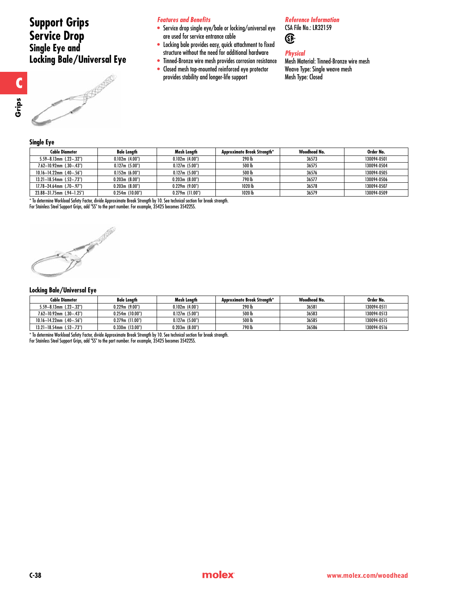# **Support Grips Service Drop Single Eye and Locking Bale/Universal Eye**

# *Features and Benefits*

- Service drop single eye/bale or locking/universal eye are used for service entrance cable
- Locking bale provides easy, quick attachment to fixed structure without the need for additional hardware
- Tinned-Bronze wire mesh provides corrosion resistance
- Closed mesh top-mounted reinforced eye protector provides stability and longer-life support

*Reference Information* CSA File No.: LR32159

*Physical*

Œ

Mesh Material: Tinned-Bronze wire mesh Weave Type: Single weave mesh Mesh Type: Closed

# **Single Eye**

| <b>Cable Diameter</b>              | <b>Bale Lenath</b> | Mesh Lenath        | Approximate Break Strength* | Woodhead No. | Order No.   |  |
|------------------------------------|--------------------|--------------------|-----------------------------|--------------|-------------|--|
| $5.59 - 8.13$ mm $(.22 - .32")$    | 0.102m(4.00")      | 0.102m(4.00")      | 290 lb                      | 36573        | 130094-0501 |  |
| $7.62 - 10.92$ mm $(.30 - .43")$   | 0.127m(5.00")      | 0.127m(5.00")      | 500 lb                      | 36575        | 130094-0504 |  |
| $10.16 - 14.22$ mm $(.40 - .56")$  | 0.152m(6.00")      | 0.127m(5.00")      | 500 lb                      | 36576        | 130094-0505 |  |
| $13.21 - 18.54$ mm $(.52 - .73")$  | 0.203m(8.00")      | 0.203m(8.00")      | 790 lb                      | 36577        | 130094-0506 |  |
| $17.78 - 24.64$ mm $(.70 - .97")$  | 0.203m(8.00")      | 0.229m(9.00")      | 1020 lb                     | 36578        | 130094-0507 |  |
| $23.88 - 31.75$ mm $(.94 - 1.25")$ | 0.254m(10.00")     | $0.279$ m (11.00") | 1020 lb                     | 36579        | 130094-0509 |  |
|                                    |                    |                    |                             |              |             |  |

\* To determine Workload Safety Factor, divide Approximate Break Strength by 10. See technical section for break strength.

For Stainless Steel Support Grips, add "SS" to the part number. For example, 35425 becomes 35422SS.

# **Locking Bale/Universal Eye**

| <b>Cable Diameter</b>              | <b>Bale Lenath</b> | Mesh Lenath   | Approximate Break Strenath* | Woodhead No. | Order No.   |
|------------------------------------|--------------------|---------------|-----------------------------|--------------|-------------|
| $5.59 - 8.13$ mm $(.22 - .32")$    | 0.229m(9.00")      | 0.102m(4.00') | 290 lb                      | 36581        | 130094-0511 |
| $7.62 - 10.92$ mm $(.30 - .43")$   | 0.254m (10.00")    | 0.127m(5.00") | 500 lb                      | 36583        | 130094-0513 |
| $10.16 - 14.22$ mm $(0.40 - 0.56)$ | $0.279m$ (11.00")  | 0.127m(5.00") | 500 lb                      | 36585        | 130094-0515 |
| $13.21 - 18.54$ mm (.52-.73")      | 0.330m(13.00")     | 0.203m(8.00") | 790 lb                      | 36586        | 130094-0516 |

\* To determine Workload Safety Factor, divide Approximate Break Strength by 10. See technical section for break strength.

For Stainless Steel Support Grips, add "SS" to the part number. For example, 35425 becomes 35422SS.